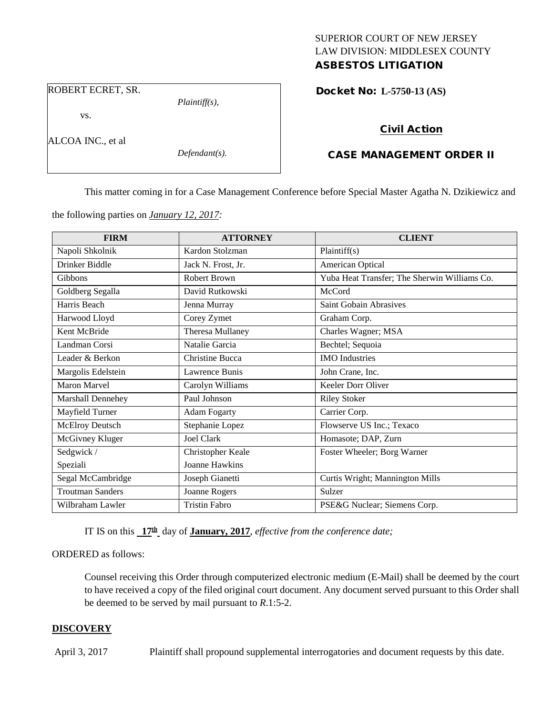# SUPERIOR COURT OF NEW JERSEY LAW DIVISION: MIDDLESEX COUNTY

ASBESTOS LITIGATION

ROBERT ECRET, SR.

vs.

ALCOA INC., et al

*Defendant(s).*

*Plaintiff(s),*

## Docket No: **L-5750-13 (AS)**

# Civil Action

# CASE MANAGEMENT ORDER II

This matter coming in for a Case Management Conference before Special Master Agatha N. Dzikiewicz and

the following parties on *January 12, 2017:*

| <b>FIRM</b>             | <b>ATTORNEY</b>       | <b>CLIENT</b>                                |
|-------------------------|-----------------------|----------------------------------------------|
| Napoli Shkolnik         | Kardon Stolzman       | Plaintiff(s)                                 |
| Drinker Biddle          | Jack N. Frost, Jr.    | American Optical                             |
| Gibbons                 | Robert Brown          | Yuba Heat Transfer; The Sherwin Williams Co. |
| Goldberg Segalla        | David Rutkowski       | McCord                                       |
| Harris Beach            | Jenna Murray          | Saint Gobain Abrasives                       |
| Harwood Lloyd           | Corey Zymet           | Graham Corp.                                 |
| Kent McBride            | Theresa Mullaney      | Charles Wagner; MSA                          |
| Landman Corsi           | Natalie Garcia        | Bechtel; Sequoia                             |
| Leader & Berkon         | Christine Bucca       | <b>IMO</b> Industries                        |
| Margolis Edelstein      | Lawrence Bunis        | John Crane, Inc.                             |
| <b>Maron Marvel</b>     | Carolyn Williams      | Keeler Dorr Oliver                           |
| Marshall Dennehey       | Paul Johnson          | <b>Riley Stoker</b>                          |
| Mayfield Turner         | <b>Adam Fogarty</b>   | Carrier Corp.                                |
| <b>McElroy Deutsch</b>  | Stephanie Lopez       | Flowserve US Inc.; Texaco                    |
| McGivney Kluger         | Joel Clark            | Homasote; DAP, Zurn                          |
| Sedgwick /              | Christopher Keale     | Foster Wheeler; Borg Warner                  |
| Speziali                | <b>Joanne Hawkins</b> |                                              |
| Segal McCambridge       | Joseph Gianetti       | Curtis Wright; Mannington Mills              |
| <b>Troutman Sanders</b> | Joanne Rogers         | Sulzer                                       |
| Wilbraham Lawler        | <b>Tristin Fabro</b>  | PSE&G Nuclear; Siemens Corp.                 |

IT IS on this **17th** day of **January, 2017**, *effective from the conference date;*

ORDERED as follows:

Counsel receiving this Order through computerized electronic medium (E-Mail) shall be deemed by the court to have received a copy of the filed original court document. Any document served pursuant to this Order shall be deemed to be served by mail pursuant to *R*.1:5-2.

# **DISCOVERY**

April 3, 2017 Plaintiff shall propound supplemental interrogatories and document requests by this date.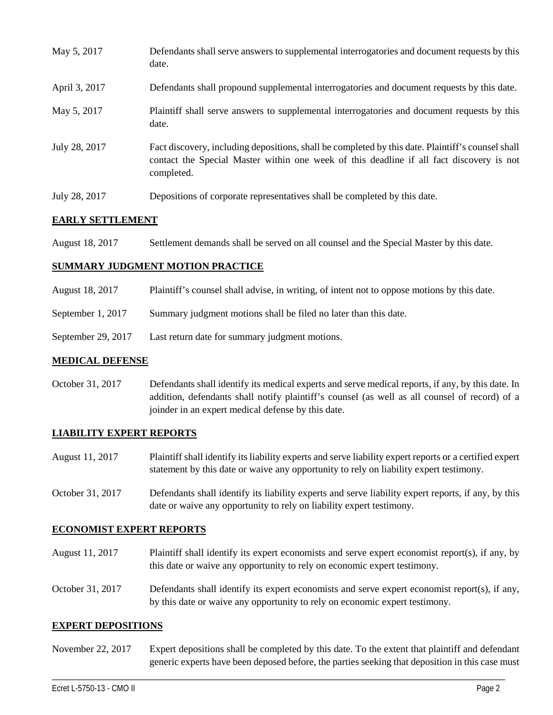| May 5, 2017   | Defendants shall serve answers to supplemental interrogatories and document requests by this<br>date.                                                                                                       |
|---------------|-------------------------------------------------------------------------------------------------------------------------------------------------------------------------------------------------------------|
| April 3, 2017 | Defendants shall propound supplemental interrogatories and document requests by this date.                                                                                                                  |
| May 5, 2017   | Plaintiff shall serve answers to supplemental interrogatories and document requests by this<br>date.                                                                                                        |
| July 28, 2017 | Fact discovery, including depositions, shall be completed by this date. Plaintiff's counsel shall<br>contact the Special Master within one week of this deadline if all fact discovery is not<br>completed. |
| July 28, 2017 | Depositions of corporate representatives shall be completed by this date.                                                                                                                                   |

## **EARLY SETTLEMENT**

| August 18, 2017 | Settlement demands shall be served on all counsel and the Special Master by this date. |
|-----------------|----------------------------------------------------------------------------------------|
|                 |                                                                                        |

## **SUMMARY JUDGMENT MOTION PRACTICE**

- August 18, 2017 Plaintiff's counsel shall advise, in writing, of intent not to oppose motions by this date.
- September 1, 2017 Summary judgment motions shall be filed no later than this date.
- September 29, 2017 Last return date for summary judgment motions.

### **MEDICAL DEFENSE**

October 31, 2017 Defendants shall identify its medical experts and serve medical reports, if any, by this date. In addition, defendants shall notify plaintiff's counsel (as well as all counsel of record) of a joinder in an expert medical defense by this date.

### **LIABILITY EXPERT REPORTS**

- August 11, 2017 Plaintiff shall identify its liability experts and serve liability expert reports or a certified expert statement by this date or waive any opportunity to rely on liability expert testimony.
- October 31, 2017 Defendants shall identify its liability experts and serve liability expert reports, if any, by this date or waive any opportunity to rely on liability expert testimony.

### **ECONOMIST EXPERT REPORTS**

- August 11, 2017 Plaintiff shall identify its expert economists and serve expert economist report(s), if any, by this date or waive any opportunity to rely on economic expert testimony.
- October 31, 2017 Defendants shall identify its expert economists and serve expert economist report(s), if any, by this date or waive any opportunity to rely on economic expert testimony.

### **EXPERT DEPOSITIONS**

November 22, 2017 Expert depositions shall be completed by this date. To the extent that plaintiff and defendant generic experts have been deposed before, the parties seeking that deposition in this case must

\_\_\_\_\_\_\_\_\_\_\_\_\_\_\_\_\_\_\_\_\_\_\_\_\_\_\_\_\_\_\_\_\_\_\_\_\_\_\_\_\_\_\_\_\_\_\_\_\_\_\_\_\_\_\_\_\_\_\_\_\_\_\_\_\_\_\_\_\_\_\_\_\_\_\_\_\_\_\_\_\_\_\_\_\_\_\_\_\_\_\_\_\_\_\_\_\_\_\_\_\_\_\_\_\_\_\_\_\_\_